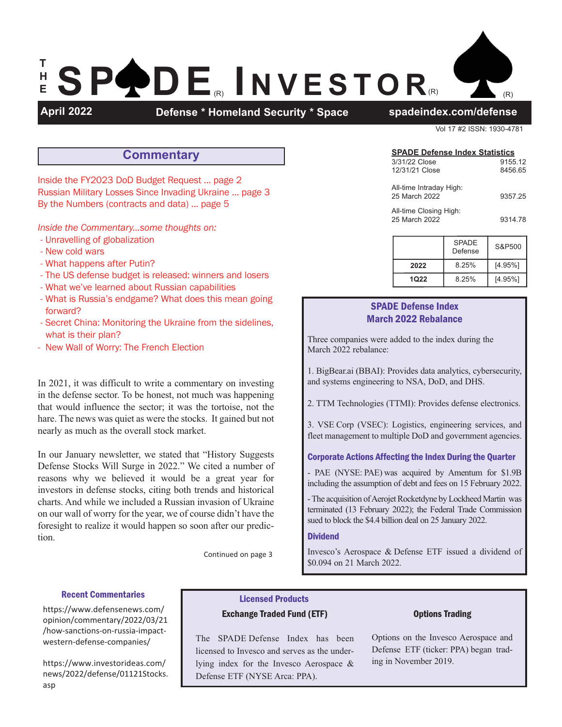

# **April 2022 Defense \* Homeland Security \* Space spadeindex.com/defense**

Vol 17 #2 ISSN: 1930-4781

**Commentary**

Inside the FY2023 DoD Budget Request ... page 2 Russian Military Losses Since Invading Ukraine ... page 3 By the Numbers (contracts and data) ... page 5

*Inside the Commentary...some thoughts on:*

- Unravelling of globalization
- New cold wars
- What happens after Putin?
- The US defense budget is released: winners and losers
- What we've learned about Russian capabilities
- What is Russia's endgame? What does this mean going forward?
- Secret China: Monitoring the Ukraine from the sidelines, what is their plan?
- New Wall of Worry: The French Election

In 2021, it was difficult to write a commentary on investing in the defense sector. To be honest, not much was happening that would influence the sector; it was the tortoise, not the hare. The news was quiet as were the stocks. It gained but not nearly as much as the overall stock market.

In our January newsletter, we stated that "History Suggests Defense Stocks Will Surge in 2022." We cited a number of reasons why we believed it would be a great year for investors in defense stocks, citing both trends and historical charts. And while we included a Russian invasion of Ukraine on our wall of worry for the year, we of course didn't have the foresight to realize it would happen so soon after our prediction.

Continued on page 3

**SPADE Defense Index Statistics** 3/31/22 Close 9155.12<br>12/31/21 Close 8456.65 12/31/21 Close All-time Intraday High:  25 March 2022 9357.25

### All-time Closing High: 25 March 2022 9314.78

|      | <b>SPADE</b><br>Defense | S&P500  |
|------|-------------------------|---------|
| 2022 | 8.25%                   | [4.95%] |
| 1022 | 8.25%                   | [4.95%] |

# SPADE Defense Index March 2022 Rebalance

Three companies were added to the index during the March 2022 rebalance:

1. BigBear.ai (BBAI): Provides data analytics, cybersecurity, and systems engineering to NSA, DoD, and DHS.

2. TTM Technologies (TTMI): Provides defense electronics.

3. VSE Corp (VSEC): Logistics, engineering services, and fleet management to multiple DoD and government agencies.

# Corporate Actions Affecting the Index During the Quarter

- PAE (NYSE: PAE) was acquired by Amentum for \$1.9B including the assumption of debt and fees on 15 February 2022.

- The acquisition of Aerojet Rocketdyne by Lockheed Martin was terminated (13 February 2022); the Federal Trade Commission sued to block the \$4.4 billion deal on 25 January 2022.

## Dividend

Invesco's Aerospace & Defense ETF issued a dividend of \$0.094 on 21 March 2022.

## Recent Commentaries

https://www.defensenews.com/ opinion/commentary/2022/03/21 /how-sanctions-on-russia-impactwestern-defense-companies/

https://www.investorideas.com/ news/2022/defense/01121Stocks. asp

# Exchange Traded Fund (ETF) Licensed Products

The SPADE Defense Index has been licensed to Invesco and serves as the underlying index for the Invesco Aerospace & Defense ETF (NYSE Arca: PPA).

## Options Trading

Options on the Invesco Aerospace and Defense ETF (ticker: PPA) began trading in November 2019.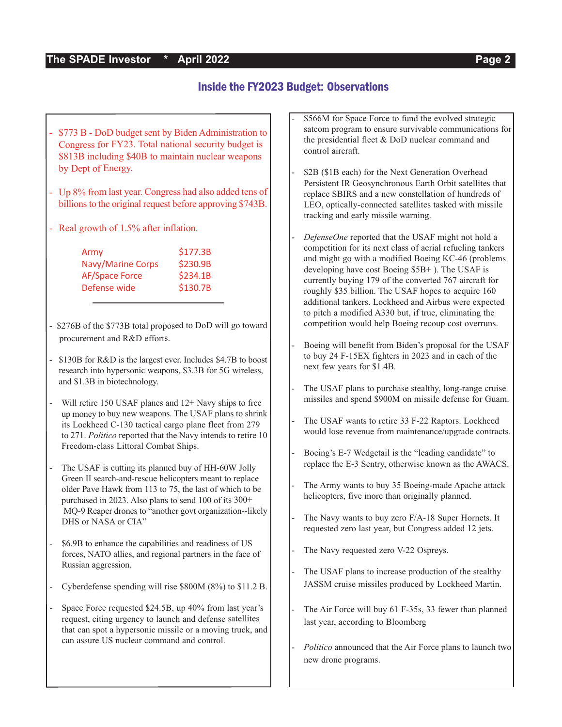# **The SPADE Investor \* April 2022 Page 2**

# Inside the FY2023 Budget: Observations

- \$773 B DoD budget sent by Biden Administration to Congress for FY23. Total national security budget is \$813B including \$40B to maintain nuclear weapons by Dept of Energy.
- Up 8% from last year. Congress had also added tens of billions to the original request before approving \$743B.
- -  Real growth of 1.5% after inflation.

| Army                     | \$177.3B |
|--------------------------|----------|
| <b>Navy/Marine Corps</b> | \$230.9B |
| <b>AF/Space Force</b>    | \$234.1B |
| Defense wide             | \$130.7B |

- \$276B of the \$773B total proposed to DoD will go toward procurement and R&D efforts.
- \$130B for R&D is the largest ever. Includes \$4.7B to boost research into hypersonic weapons, \$3.3B for 5G wireless, and \$1.3B in biotechnology.
- Will retire 150 USAF planes and  $12+$  Navy ships to free up money to buy new weapons. The USAF plans to shrink its Lockheed C-130 tactical cargo plane fleet from 279 to 271. *Politico* reported that the Navy intends to retire 10 Freedom-class Littoral Combat Ships.
- The USAF is cutting its planned buy of HH-60W Jolly Green II search-and-rescue helicopters meant to replace older Pave Hawk from 113 to 75, the last of which to be purchased in 2023. Also plans to send 100 of its 300+ MQ-9 Reaper drones to "another govt organization--likely DHS or NASA or CIA"
- \$6.9B to enhance the capabilities and readiness of US forces, NATO allies, and regional partners in the face of Russian aggression.
- Cyberdefense spending will rise \$800M (8%) to \$11.2 B.
- Space Force requested \$24.5B, up 40% from last year's request, citing urgency to launch and defense satellites that can spot a hypersonic missile or a moving truck, and can assure US nuclear command and control.
- \$566M for Space Force to fund the evolved strategic satcom program to ensure survivable communications for the presidential fleet & DoD nuclear command and control aircraft.
- \$2B (\$1B each) for the Next Generation Overhead Persistent IR Geosynchronous Earth Orbit satellites that replace SBIRS and a new constellation of hundreds of LEO, optically-connected satellites tasked with missile tracking and early missile warning.
- *DefenseOne* reported that the USAF might not hold a competition for its next class of aerial refueling tankers and might go with a modified Boeing KC-46 (problems developing have cost Boeing \$5B+). The USAF is currently buying 179 of the converted 767 aircraft for roughly \$35 billion. The USAF hopes to acquire 160 additional tankers. Lockheed and Airbus were expected to pitch a modified A330 but, if true, eliminating the competition would help Boeing recoup cost overruns.
- Boeing will benefit from Biden's proposal for the USAF to buy 24 F-15EX fighters in 2023 and in each of the next few years for \$1.4B.
- The USAF plans to purchase stealthy, long-range cruise missiles and spend \$900M on missile defense for Guam.
- The USAF wants to retire 33 F-22 Raptors. Lockheed would lose revenue from maintenance/upgrade contracts.
- Boeing's E-7 Wedgetail is the "leading candidate" to replace the E-3 Sentry, otherwise known as the AWACS.
- The Army wants to buy 35 Boeing-made Apache attack helicopters, five more than originally planned.
- The Navy wants to buy zero F/A-18 Super Hornets. It requested zero last year, but Congress added 12 jets.
- The Navy requested zero V-22 Ospreys.
- The USAF plans to increase production of the stealthy JASSM cruise missiles produced by Lockheed Martin.
- The Air Force will buy 61 F-35s, 33 fewer than planned last year, according to Bloomberg
- Politico announced that the Air Force plans to launch two new drone programs.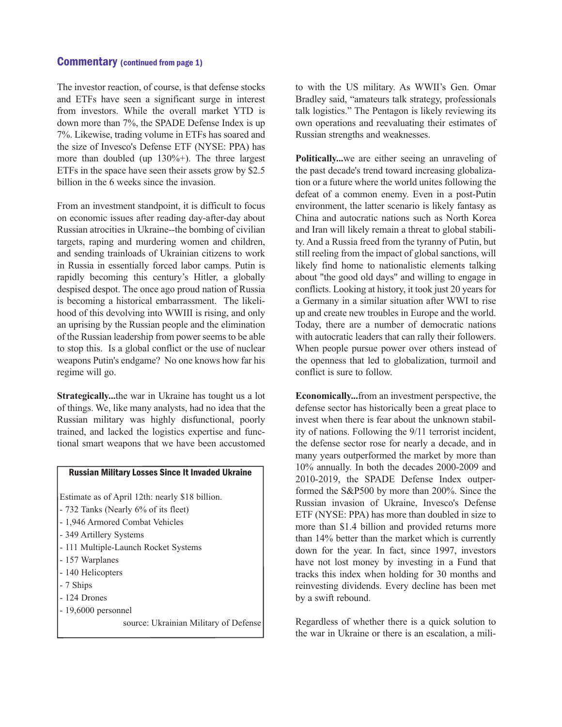## Commentary (continued from page 1)

The investor reaction, of course, is that defense stocks and ETFs have seen a significant surge in interest from investors. While the overall market YTD is down more than 7%, the SPADE Defense Index is up 7%. Likewise, trading volume in ETFs has soared and the size of Invesco's Defense ETF (NYSE: PPA) has more than doubled (up 130%+). The three largest ETFs in the space have seen their assets grow by \$2.5 billion in the 6 weeks since the invasion.

From an investment standpoint, it is difficult to focus on economic issues after reading day-after-day about Russian atrocities in Ukraine--the bombing of civilian targets, raping and murdering women and children, and sending trainloads of Ukrainian citizens to work in Russia in essentially forced labor camps. Putin is rapidly becoming this century's Hitler, a globally despised despot. The once ago proud nation of Russia is becoming a historical embarrassment. The likelihood of this devolving into WWIII is rising, and only an uprising by the Russian people and the elimination of the Russian leadership from power seems to be able to stop this. Is a global conflict or the use of nuclear weapons Putin's endgame? No one knows how far his regime will go.

**Strategically...**the war in Ukraine has tought us a lot of things. We, like many analysts, had no idea that the Russian military was highly disfunctional, poorly trained, and lacked the logistics expertise and functional smart weapons that we have been accustomed

## Russian Military Losses Since It Invaded Ukraine

Estimate as of April 12th: nearly \$18 billion.

- 732 Tanks (Nearly 6% of its fleet)
- 1,946 Armored Combat Vehicles
- 349 Artillery Systems
- 111 Multiple-Launch Rocket Systems
- 157 Warplanes
- 140 Helicopters
- 7 Ships
- 124 Drones
- 19,6000 personnel

source: Ukrainian Military of Defense

to with the US military. As WWII's Gen. Omar Bradley said, "amateurs talk strategy, professionals talk logistics." The Pentagon is likely reviewing its own operations and reevaluating their estimates of Russian strengths and weaknesses.

**Politically...**we are either seeing an unraveling of the past decade's trend toward increasing globalization or a future where the world unites following the defeat of a common enemy. Even in a post-Putin environment, the latter scenario is likely fantasy as China and autocratic nations such as North Korea and Iran will likely remain a threat to global stability. And a Russia freed from the tyranny of Putin, but still reeling from the impact of global sanctions, will likely find home to nationalistic elements talking about "the good old days" and willing to engage in conflicts. Looking at history, it took just 20 years for a Germany in a similar situation after WWI to rise up and create new troubles in Europe and the world. Today, there are a number of democratic nations with autocratic leaders that can rally their followers. When people pursue power over others instead of the openness that led to globalization, turmoil and conflict is sure to follow.

**Economically...**from an investment perspective, the defense sector has historically been a great place to invest when there is fear about the unknown stability of nations. Following the 9/11 terrorist incident, the defense sector rose for nearly a decade, and in many years outperformed the market by more than 10% annually. In both the decades 2000-2009 and 2010-2019, the SPADE Defense Index outperformed the S&P500 by more than 200%. Since the Russian invasion of Ukraine, Invesco's Defense ETF (NYSE: PPA) has more than doubled in size to more than \$1.4 billion and provided returns more than 14% better than the market which is currently down for the year. In fact, since 1997, investors have not lost money by investing in a Fund that tracks this index when holding for 30 months and reinvesting dividends. Every decline has been met by a swift rebound.

Regardless of whether there is a quick solution to the war in Ukraine or there is an escalation, a mili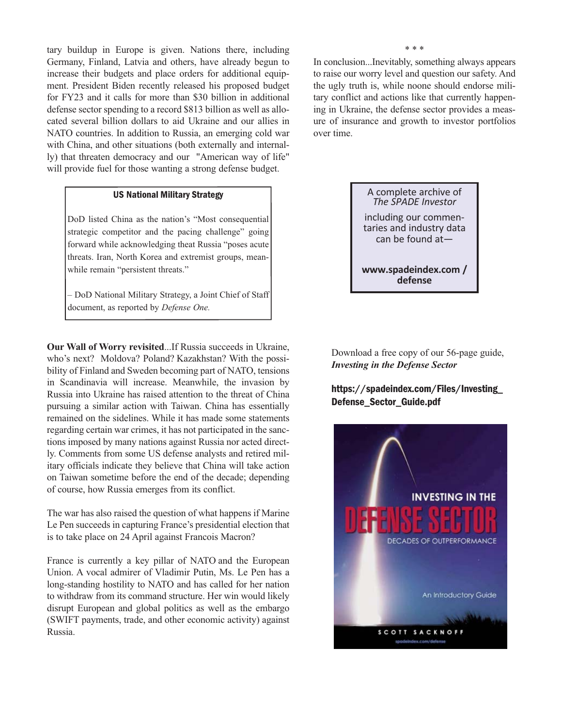tary buildup in Europe is given. Nations there, including Germany, Finland, Latvia and others, have already begun to increase their budgets and place orders for additional equipment. President Biden recently released his proposed budget for FY23 and it calls for more than \$30 billion in additional defense sector spending to a record \$813 billion as well as allocated several billion dollars to aid Ukraine and our allies in NATO countries. In addition to Russia, an emerging cold war with China, and other situations (both externally and internally) that threaten democracy and our "American way of life" will provide fuel for those wanting a strong defense budget.

### US National Military Strategy

DoD listed China as the nation's "Most consequential strategic competitor and the pacing challenge" going forward while acknowledging theat Russia "poses acute threats. Iran, North Korea and extremist groups, meanwhile remain "persistent threats."

– DoD National Military Strategy, a Joint Chief of Staff document, as reported by *Defense One.*

**Our Wall of Worry revisited**...If Russia succeeds in Ukraine, who's next? Moldova? Poland? Kazakhstan? With the possibility of Finland and Sweden becoming part of NATO, tensions in Scandinavia will increase. Meanwhile, the invasion by Russia into Ukraine has raised attention to the threat of China pursuing a similar action with Taiwan. China has essentially remained on the sidelines. While it has made some statements regarding certain war crimes, it has not participated in the sanctions imposed by many nations against Russia nor acted directly. Comments from some US defense analysts and retired military officials indicate they believe that China will take action on Taiwan sometime before the end of the decade; depending of course, how Russia emerges from its conflict.

The war has also raised the question of what happens if Marine Le Pen succeeds in capturing France's presidential election that is to take place on 24 April against Francois Macron?

France is currently a key pillar of NATO and the European Union. A vocal admirer of Vladimir Putin, Ms. Le Pen has a long-standing hostility to NATO and has called for her nation to withdraw from its command structure. Her win would likely disrupt European and global politics as well as the embargo (SWIFT payments, trade, and other economic activity) against Russia.

\* \* \* 

In conclusion...Inevitably, something always appears to raise our worry level and question our safety. And the ugly truth is, while noone should endorse military conflict and actions like that currently happening in Ukraine, the defense sector provides a measure of insurance and growth to investor portfolios over time.

> A complete archive of *The SPADE Investor*

including our commentaries and industry data can be found at—

**www.spadeindex.com / defense**

Download a free copy of our 56-page guide, *Investing in the Defense Sector* 

https://spadeindex.com/Files/Investing\_ Defense\_Sector\_Guide.pdf

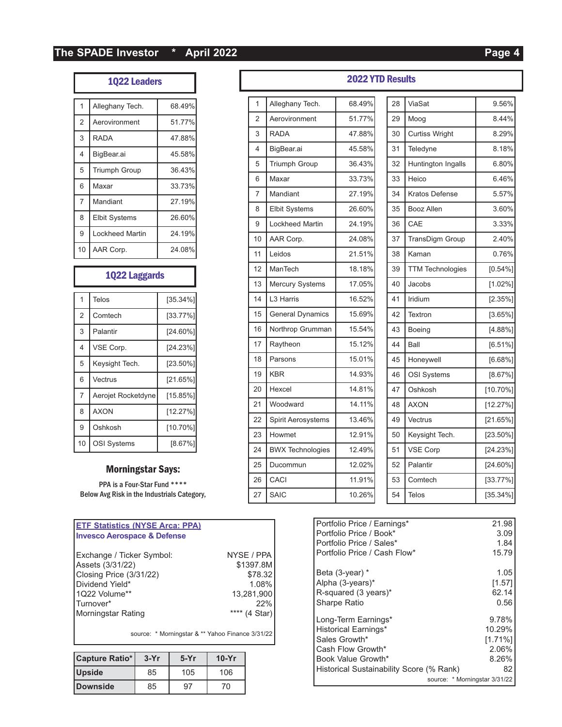# **The SPADE Investor \* April 2022 Page 4**

| 1022 Leaders   |                      |        |
|----------------|----------------------|--------|
| 1              | Alleghany Tech.      | 68.49% |
| $\overline{2}$ | Aerovironment        | 51.77% |
| 3              | <b>RADA</b>          | 47.88% |
| 4              | BigBear.ai           | 45.58% |
| 5              | <b>Triumph Group</b> | 36.43% |
| 6              | Maxar                | 33.73% |
| $\overline{7}$ | Mandiant             | 27.19% |
| 8              | <b>Elbit Systems</b> | 26.60% |
| 9              | Lockheed Martin      | 24.19% |
| 10             | AAR Corp.            | 24.08% |

# 1Q22 Laggards

| 1              | Telos              | $[35.34\%]$ |
|----------------|--------------------|-------------|
| $\overline{2}$ | Comtech            | [33.77%]    |
| 3              | Palantir           | [24.60%]    |
| 4              | VSE Corp.          | $[24.23\%]$ |
| 5              | Keysight Tech.     | $[23.50\%]$ |
| 6              | Vectrus            | [21.65%]    |
| $\overline{7}$ | Aerojet Rocketdyne | [15.85%]    |
| 8              | <b>AXON</b>        | [12.27%]    |
| 9              | Oshkosh            | [10.70%]    |
| 10             | OSI Systems        | [8.67%]     |

# Morningstar Says:

PPA is a Four-Star Fund \*\*\*\* Below Avg Risk in the Industrials Category,

| <b>ETF Statistics (NYSE Arca: PPA)</b><br><b>Invesco Aerospace &amp; Defense</b> |               |
|----------------------------------------------------------------------------------|---------------|
| Exchange / Ticker Symbol:                                                        | NYSE / PPA    |
| Assets (3/31/22)                                                                 | \$1397.8M     |
| Closing Price (3/31/22)                                                          | \$78.32       |
| Dividend Yield*                                                                  | 1.08%         |
| 1Q22 Volume**                                                                    | 13,281,900    |
| Turnover*                                                                        | 22%           |
| Morningstar Rating                                                               | **** (4 Star) |

source: \* Morningstar & \*\* Yahoo Finance 3/31/22

| Capture Ratio*  | $3-Yr$ | $5-Yr$ | $10-Yr$ |
|-----------------|--------|--------|---------|
| Upside          | 85     | 105    | 106     |
| <b>Downside</b> | 85     | 97     | 70      |

|                |                           | <b>2022 YTD Results</b> |    |                    |
|----------------|---------------------------|-------------------------|----|--------------------|
| 1              | Alleghany Tech.           | 68.49%                  | 28 | Via                |
| $\overline{2}$ | Aerovironment             | 51.77%                  | 29 | Mo                 |
| 3              | <b>RADA</b>               | 47.88%                  | 30 | Cu                 |
| 4              | BigBear.ai                | 45.58%                  | 31 | Tel                |
| 5              | Triumph Group             | 36.43%                  | 32 | Hu                 |
| 6              | Maxar                     | 33.73%                  | 33 | He                 |
| 7              | Mandiant                  | 27.19%                  | 34 | Kra                |
| 8              | <b>Elbit Systems</b>      | 26.60%                  | 35 | B٥                 |
| 9              | <b>Lockheed Martin</b>    | 24.19%                  | 36 | CA                 |
| 10             | AAR Corp.                 | 24.08%                  | 37 | Tra                |
| 11             | Leidos                    | 21.51%                  | 38 | Ka                 |
| 12             | ManTech                   | 18.18%                  | 39 | ΤT                 |
| 13             | <b>Mercury Systems</b>    | 17.05%                  | 40 | Jao                |
| 14             | L3 Harris                 | 16.52%                  | 41 | Irid               |
| 15             | <b>General Dynamics</b>   | 15.69%                  | 42 | Te <sub>&gt;</sub> |
| 16             | Northrop Grumman          | 15.54%                  | 43 | Bo                 |
| 17             | Raytheon                  | 15.12%                  | 44 | Ba                 |
| 18             | Parsons                   | 15.01%                  | 45 | Ho                 |
| 19             | <b>KBR</b>                | 14.93%                  | 46 | OS                 |
| 20             | Hexcel                    | 14.81%                  | 47 | Os                 |
| 21             | Woodward                  | 14.11%                  | 48 | AX                 |
| 22             | <b>Spirit Aerosystems</b> | 13.46%                  | 49 | Ve                 |
| 23             | Howmet                    | 12.91%                  | 50 | Kej                |
| 24             | <b>BWX Technologies</b>   | 12.49%                  | 51 | VS                 |
| 25             | Ducommun                  | 12.02%                  | 52 | Pa                 |
| 26             | <b>CACI</b>               | 11.91%                  | 53 | Co                 |
| 27             | SAIC                      | 10.26%                  | 54 | Tel                |

| 28 | ViaSat                  | 9.56%       |
|----|-------------------------|-------------|
| 29 | Moog                    | 8.44%       |
| 30 | <b>Curtiss Wright</b>   | 8.29%       |
| 31 | Teledyne                | 8.18%       |
| 32 | Huntington Ingalls      | 6.80%       |
| 33 | Heico                   | 6.46%       |
| 34 | Kratos Defense          | 5.57%       |
| 35 | Booz Allen              | 3.60%       |
| 36 | CAE                     | 3.33%       |
| 37 | TransDigm Group         | 2.40%       |
| 38 | Kaman                   | 0.76%       |
| 39 | <b>TTM Technologies</b> | $[0.54\%]$  |
| 40 | Jacobs                  | $[1.02\%]$  |
| 41 | Iridium                 | $[2.35\%]$  |
| 42 | Textron                 | [3.65%]     |
| 43 | Boeing                  | [4.88%]     |
| 44 | Ball                    | $[6.51\%]$  |
| 45 | Honeywell               | [6.68%]     |
| 46 | <b>OSI Systems</b>      | $[8.67\%]$  |
| 47 | Oshkosh                 | $[10.70\%]$ |
| 48 | <b>AXON</b>             | $[12.27\%]$ |
| 49 | Vectrus                 | $[21.65\%]$ |
| 50 | Keysight Tech.          | $[23.50\%]$ |
| 51 | <b>VSE Corp</b>         | $[24.23\%]$ |
| 52 | Palantir                | $[24.60\%]$ |
| 53 | Comtech                 | $[33.77\%]$ |
| 54 | Telos                   | $[35.34\%]$ |
|    |                         |             |

| Portfolio Price / Earnings*              | 21.98                         |
|------------------------------------------|-------------------------------|
| Portfolio Price / Book*                  | 3.09                          |
| Portfolio Price / Sales*                 | 1.84                          |
| Portfolio Price / Cash Flow*             | 15.79                         |
|                                          |                               |
| Beta (3-year) *                          | 1.05                          |
| Alpha (3-years)*                         | [1.57]                        |
| R-squared (3 years)*                     | 62.14                         |
| Sharpe Ratio                             | 0.56                          |
| Long-Term Earnings*                      | 9.78%                         |
| <b>Historical Earnings*</b>              | 10.29%                        |
| Sales Growth*                            | $[1.71\%]$                    |
| Cash Flow Growth*                        | 2.06%                         |
| Book Value Growth*                       | 8.26%                         |
|                                          |                               |
| Historical Sustainability Score (% Rank) | 82                            |
|                                          | source: * Morningstar 3/31/22 |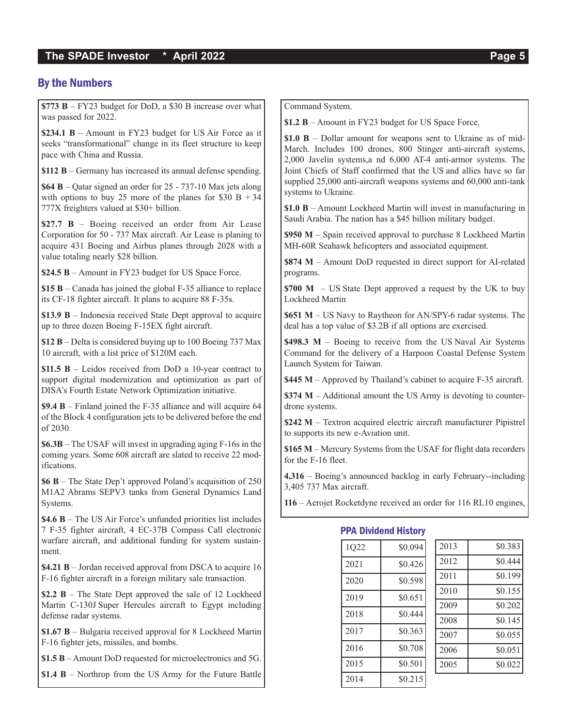# By the Numbers

**\$773 B** – FY23 budget for DoD, a \$30 B increase over what was passed for 2022.

**\$234.1 B** – Amount in FY23 budget for US Air Force as it seeks "transformational" change in its fleet structure to keep pace with China and Russia.

**\$112 B** – Germany has increased its annual defense spending.

**\$64 B** – Qatar signed an order for 25 - 737-10 Max jets along with options to buy 25 more of the planes for  $$30 B + 34$ 777X freighters valued at \$30+ billion.

**\$27.7 B** – Boeing received an order from Air Lease Corporation for 50 - 737 Max aircraft. Air Lease is planing to acquire 431 Boeing and Airbus planes through 2028 with a value totaling nearly \$28 billion.

**\$24.5 B** – Amount in FY23 budget for US Space Force.

**\$15 B** – Canada has joined the global F-35 alliance to replace its CF-18 fighter aircraft. It plans to acquire 88 F-35s.

**\$13.9 B** – Indonesia received State Dept approval to acquire up to three dozen Boeing F-15EX fight aircraft.

**\$12 B** – Delta is considered buying up to 100 Boeing 737 Max 10 aircraft, with a list price of \$120M each.

**\$11.5 B** – Leidos received from DoD a 10-year contract to support digital modernization and optimization as part of DISA's Fourth Estate Network Optimization initiative.

**\$9.4 B** – Finland joined the F-35 alliance and will acquire 64 of the Block 4 configuration jets to be delivered before the end of 2030.

**\$6.3B** – The USAF will invest in upgrading aging F-16s in the coming years. Some 608 aircraft are slated to receive 22 modifications.

**\$6 B** – The State Dep't approved Poland's acquisition of 250 M1A2 Abrams SEPV3 tanks from General Dynamics Land Systems.

**\$4.6 B** – The US Air Force's unfunded priorities list includes 7 F-35 fighter aircraft, 4 EC-37B Compass Call electronic warfare aircraft, and additional funding for system sustainment.

**\$4.21 B** – Jordan received approval from DSCA to acquire 16 F-16 fighter aircraft in a foreign military sale transaction.

**\$2.2 B** – The State Dept approved the sale of 12 Lockheed Martin C-130J Super Hercules aircraft to Egypt including defense radar systems.

**\$1.67 B** – Bulgaria received approval for 8 Lockheed Martin F-16 fighter jets, missiles, and bombs.

**\$1.5 B** – Amount DoD requested for microelectronics and 5G.

**\$1.4 B** – Northrop from the US Army for the Future Battle

Command System.

**\$1.2 B** – Amount in FY23 budget for US Space Force.

**\$1.0 B** – Dollar amount for weapons sent to Ukraine as of mid-March. Includes 100 drones, 800 Stinger anti-aircraft systems, 2,000 Javelin systems,a nd 6,000 AT-4 anti-armor systems. The Joint Chiefs of Staff confirmed that the US and allies have so far supplied 25,000 anti-aircraft weapons systems and 60,000 anti-tank systems to Ukraine.

**\$1.0 B** – Amount Lockheed Martin will invest in manufacturing in Saudi Arabia. The nation has a \$45 billion military budget.

**\$950 M** – Spain received approval to purchase 8 Lockheed Martin MH-60R Seahawk helicopters and associated equipment.

**\$874 M** – Amount DoD requested in direct support for AI-related programs.

**\$700 M** – US State Dept approved a request by the UK to buy Lockheed Martin

**\$651 M** – US Navy to Raytheon for AN/SPY-6 radar systems. The deal has a top value of \$3.2B if all options are exercised.

\$498.3 M – Boeing to receive from the US Naval Air Systems Command for the delivery of a Harpoon Coastal Defense System Launch System for Taiwan.

**\$445 M** – Approved by Thailand's cabinet to acquire F-35 aircraft.

**\$374 M** – Additional amount the US Army is devoting to counterdrone systems.

**\$242 M** – Textron acquired electric aircraft manufacturer Pipistrel to supports its new e-Aviation unit.

**\$165 M** – Mercury Systems from the USAF for flight data recorders for the F-16 fleet.

**4,316** – Boeing's announced backlog in early February--including 3,405 737 Max aircraft.

**116** – Aerojet Rocketdyne received an order for 116 RL10 engines,

### PPA Dividend History

| 1022 | \$0.094 | 2013 |
|------|---------|------|
| 2021 | \$0.426 | 2012 |
| 2020 | \$0.598 | 2011 |
| 2019 | \$0.651 | 2010 |
| 2018 | \$0.444 | 2009 |
|      |         | 2008 |
| 2017 | \$0.363 | 2007 |
| 2016 | \$0.708 | 2006 |
| 2015 | \$0.501 | 2005 |
| 2014 | \$0.215 |      |
|      |         |      |

| 1                       | 2013 | \$0.383 |
|-------------------------|------|---------|
| 5                       | 2012 | \$0.444 |
| $\overline{\mathbf{S}}$ | 2011 | \$0.199 |
| ĺ                       | 2010 | \$0.155 |
| 1                       | 2009 | \$0.202 |
|                         | 2008 | \$0.145 |
| $\overline{\mathbf{3}}$ | 2007 | \$0.055 |
| $\overline{\mathbf{S}}$ | 2006 | \$0.051 |
| l                       | 2005 | \$0.022 |
| $\overline{5}$          |      |         |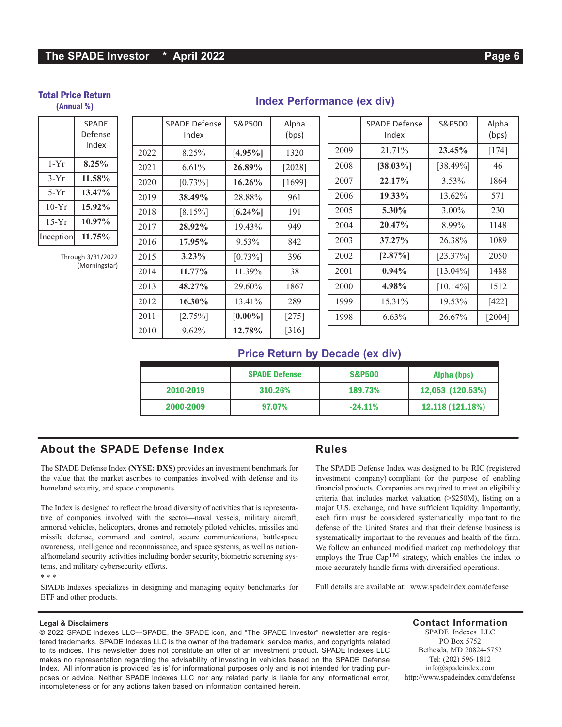## **The SPADE Investor \* April 2022 Page 6**

### Total Price Return

(Annual %)

|           | <b>SPADE</b><br>Defense<br>Index |
|-----------|----------------------------------|
| $1-Yr$    | $8.25\%$                         |
| $3-Yr$    | 11.58%                           |
| $5-Yr$    | $13.47\%$                        |
| $10-Yr$   | 15.92%                           |
| $15-Yr$   | 10.97%                           |
| Inception | $11.75\%$                        |

Through 3/31/2022 (Morningstar)

|      | <b>SPADE Defense</b><br>Index | S&P500     | Alpha<br>(bps) |
|------|-------------------------------|------------|----------------|
| 2022 | 8.25%                         | $[4.95\%]$ | 1320           |
| 2021 | 6.61%                         | 26.89%     | $[2028]$       |
| 2020 | $[0.73\%]$                    | $16.26\%$  | [1699]         |
| 2019 | 38.49%                        | 28.88%     | 961            |
| 2018 | $[8.15\%]$                    | $[6.24\%]$ | 191            |
| 2017 | 28.92%                        | 19.43%     | 949            |
| 2016 | 17.95%                        | $9.53\%$   | 842            |
| 2015 | $3.23\%$                      | $[0.73\%]$ | 396            |
| 2014 | 11.77%                        | 11.39%     | 38             |
| 2013 | 48.27%                        | 29.60%     | 1867           |
| 2012 | $16.30\%$                     | 13.41%     | 289            |
| 2011 | $[2.75\%]$                    | $[0.00\%]$ | $[275]$        |
| 2010 | 9.62%                         | 12.78%     | [316]          |

# **Index Performance (ex div)**

|   |      | <b>SPADE Defense</b><br>Index | Alpha<br>(bps) |         |  |
|---|------|-------------------------------|----------------|---------|--|
|   | 2009 | 21.71%                        | 23.45%         | $[174]$ |  |
| 1 | 2008 | $[38.03\%]$                   | $[38.49\%]$    | 46      |  |
| ] | 2007 | 22.17%                        | $3.53\%$       | 1864    |  |
|   | 2006 | $19.33\%$                     | 13.62%         | 571     |  |
|   | 2005 | 5.30%                         | $3.00\%$       | 230     |  |
|   | 2004 | $20.47\%$                     | 8.99%          | 1148    |  |
|   | 2003 | $37.27\%$                     | 26.38%         | 1089    |  |
|   | 2002 | $[2.87\%]$                    | $[23.37\%]$    | 2050    |  |
|   | 2001 | $0.94\%$                      | $[13.04\%]$    | 1488    |  |
|   | 2000 | 4.98%                         | $[10.14\%]$    | 1512    |  |
|   | 1999 | 15.31%                        | 19.53%         | $[422]$ |  |
|   | 1998 | $6.63\%$                      | 26.67%         | [2004]  |  |
|   |      |                               |                |         |  |

## **Price Return by Decade (ex div)**

|           | <b>SPADE Defense</b> | <b>S&amp;P500</b> | Alpha (bps)      |  |  |  |
|-----------|----------------------|-------------------|------------------|--|--|--|
| 2010-2019 | 310.26%              | 189.73%           | 12,053 (120.53%) |  |  |  |
| 2000-2009 | 97.07%               | $-24.11\%$        | 12,118 (121.18%) |  |  |  |

# **About the SPADE Defense Index**

The SPADE Defense Index (NYSE: DXS) provides an investment benchmark for the value that the market ascribes to companies involved with defense and its homeland security, and space components.

The Index is designed to reflect the broad diversity of activities that is representative of companies involved with the sector—naval vessels, military aircraft, armored vehicles, helicopters, drones and remotely piloted vehicles, missiles and missile defense, command and control, secure communications, battlespace awareness, intelligence and reconnaissance, and space systems, as well as national/homeland security activities including border security, biometric screening systems, and military cybersecurity efforts.

### \* \* \*

SPADE Indexes specializes in designing and managing equity benchmarks for ETF and other products.

# **Rules**

The SPADE Defense Index was designed to be RIC (registered investment company) compliant for the purpose of enabling financial products. Companies are required to meet an eligibility criteria that includes market valuation (>\$250M), listing on a major U.S. exchange, and have sufficient liquidity. Importantly, each firm must be considered systematically important to the defense of the United States and that their defense business is systematically important to the revenues and health of the firm. We follow an enhanced modified market cap methodology that employs the True CapTM strategy, which enables the index to more accurately handle firms with diversified operations.

Full details are available at: www.spadeindex.com/defense

### **Legal & Disclaimers**

© 2022 SPADE Indexes LLC—SPADE, the SPADE icon, and "The SPADE Investor" newsletter are registered trademarks. SPADE Indexes LLC is the owner of the trademark, service marks, and copyrights related to its indices. This newsletter does not constitute an offer of an investment product. SPADE Indexes LLC makes no representation regarding the advisability of investing in vehicles based on the SPADE Defense Index. All information is provided 'as is' for informational purposes only and is not intended for trading purposes or advice. Neither SPADE Indexes LLC nor any related party is liable for any informational error, incompleteness or for any actions taken based on information contained herein.

### **Contact Information**

SPADE  Indexes LLC PO Box 5752 Bethesda, MD 20824-5752 Tel: (202) 596-1812 info@spadeindex.com http://www.spadeindex.com/defense